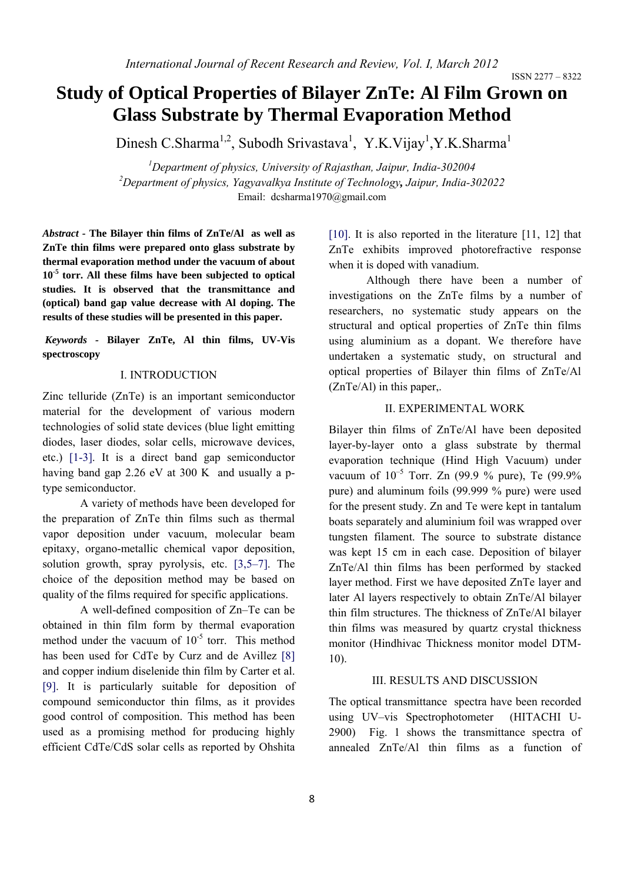# **Study of Optical Properties of Bilayer ZnTe: Al Film Grown on Glass Substrate by Thermal Evaporation Method**

Dinesh C.Sharma<sup>1,2</sup>, Subodh Srivastava<sup>1</sup>, Y.K.Vijay<sup>1</sup>,Y.K.Sharma<sup>1</sup>

*1 Department of physics, University of Rajasthan, Jaipur, India-302004 2 Department of physics, Yagyavalkya Institute of Technology, Jaipur, India-302022* Email: dcsharma1970@gmail.com

*Abstract -* **The Bilayer thin films of ZnTe/Al as well as ZnTe thin films were prepared onto glass substrate by thermal evaporation method under the vacuum of about 10-5 torr. All these films have been subjected to optical studies. It is observed that the transmittance and (optical) band gap value decrease with Al doping. The results of these studies will be presented in this paper.** 

 *Keywords -* **Bilayer ZnTe, Al thin films, UV-Vis spectroscopy** 

## I. INTRODUCTION

Zinc telluride (ZnTe) is an important semiconductor material for the development of various modern technologies of solid state devices (blue light emitting diodes, laser diodes, solar cells, microwave devices, etc.) [1-3]. It is a direct band gap semiconductor having band gap 2.26 eV at 300 K and usually a ptype semiconductor.

 A variety of methods have been developed for the preparation of ZnTe thin films such as thermal vapor deposition under vacuum, molecular beam epitaxy, organo-metallic chemical vapor deposition, solution growth, spray pyrolysis, etc. [3,5–7]. The choice of the deposition method may be based on quality of the films required for specific applications.

A well-defined composition of Zn–Te can be obtained in thin film form by thermal evaporation method under the vacuum of  $10^{-5}$  torr. This method has been used for CdTe by Curz and de Avillez [8] and copper indium diselenide thin film by Carter et al. [9]. It is particularly suitable for deposition of compound semiconductor thin films, as it provides good control of composition. This method has been used as a promising method for producing highly efficient CdTe/CdS solar cells as reported by Ohshita

[10]. It is also reported in the literature [11, 12] that ZnTe exhibits improved photorefractive response when it is doped with vanadium.

Although there have been a number of investigations on the ZnTe films by a number of researchers, no systematic study appears on the structural and optical properties of ZnTe thin films using aluminium as a dopant. We therefore have undertaken a systematic study, on structural and optical properties of Bilayer thin films of ZnTe/Al (ZnTe/Al) in this paper,.

#### II. EXPERIMENTAL WORK

Bilayer thin films of ZnTe/Al have been deposited layer-by-layer onto a glass substrate by thermal evaporation technique (Hind High Vacuum) under vacuum of  $10^{-5}$  Torr. Zn (99.9 % pure), Te (99.9% pure) and aluminum foils (99.999 % pure) were used for the present study. Zn and Te were kept in tantalum boats separately and aluminium foil was wrapped over tungsten filament. The source to substrate distance was kept 15 cm in each case. Deposition of bilayer ZnTe/Al thin films has been performed by stacked layer method. First we have deposited ZnTe layer and later Al layers respectively to obtain ZnTe/Al bilayer thin film structures. The thickness of ZnTe/Al bilayer thin films was measured by quartz crystal thickness monitor (Hindhivac Thickness monitor model DTM-10).

#### III. RESULTS AND DISCUSSION

The optical transmittance spectra have been recorded using UV–vis Spectrophotometer (HITACHI U-2900) Fig. 1 shows the transmittance spectra of annealed ZnTe/Al thin films as a function of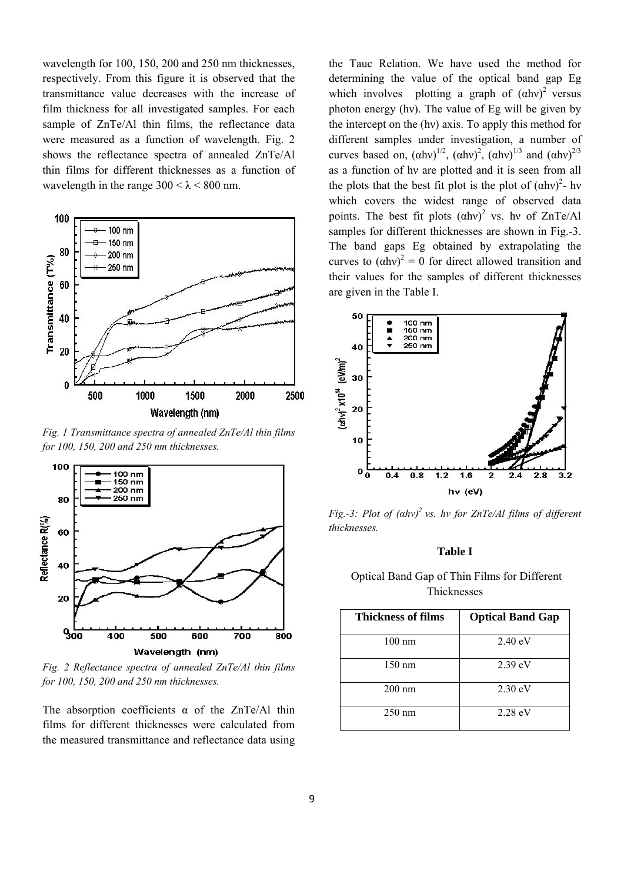wavelength for 100, 150, 200 and 250 nm thicknesses, respectively. From this figure it is observed that the transmittance value decreases with the increase of film thickness for all investigated samples. For each sample of ZnTe/Al thin films, the reflectance data were measured as a function of wavelength. Fig. 2 shows the reflectance spectra of annealed ZnTe/Al thin films for different thicknesses as a function of wavelength in the range  $300 < \lambda < 800$  nm.



*Fig. 1 Transmittance spectra of annealed ZnTe/Al thin films for 100, 150, 200 and 250 nm thicknesses.* 



*Fig. 2 Reflectance spectra of annealed ZnTe/Al thin films for 100, 150, 200 and 250 nm thicknesses.* 

The absorption coefficients  $\alpha$  of the ZnTe/Al thin films for different thicknesses were calculated from the measured transmittance and reflectance data using the Tauc Relation. We have used the method for determining the value of the optical band gap Eg which involves plotting a graph of  $(ahv)^2$  versus photon energy (hν). The value of Eg will be given by the intercept on the (hν) axis. To apply this method for different samples under investigation, a number of curves based on,  $(\alpha h v)^{1/2}$ ,  $(\alpha h v)^{2}$ ,  $(\alpha h v)^{1/3}$  and  $(\alpha h v)^{2/3}$ as a function of hν are plotted and it is seen from all the plots that the best fit plot is the plot of  $(ahv)^2$ - hv which covers the widest range of observed data points. The best fit plots  $(ahv)^2$  vs. hv of ZnTe/Al samples for different thicknesses are shown in Fig.-3. The band gaps Eg obtained by extrapolating the curves to  $(ahv)^2 = 0$  for direct allowed transition and their values for the samples of different thicknesses are given in the Table I.



*Fig.-3: Plot of (αhν) 2 vs. hν for ZnTe/Al films of different thicknesses.* 

## **Table I**

## Optical Band Gap of Thin Films for Different Thicknesses

| Thickness of films | <b>Optical Band Gap</b> |
|--------------------|-------------------------|
| $100 \text{ nm}$   | $2.40 \text{ eV}$       |
| $150 \text{ nm}$   | $2.39 \text{ eV}$       |
| $200 \text{ nm}$   | $2.30 \text{ eV}$       |
| $250 \text{ nm}$   | $2.28 \text{ eV}$       |